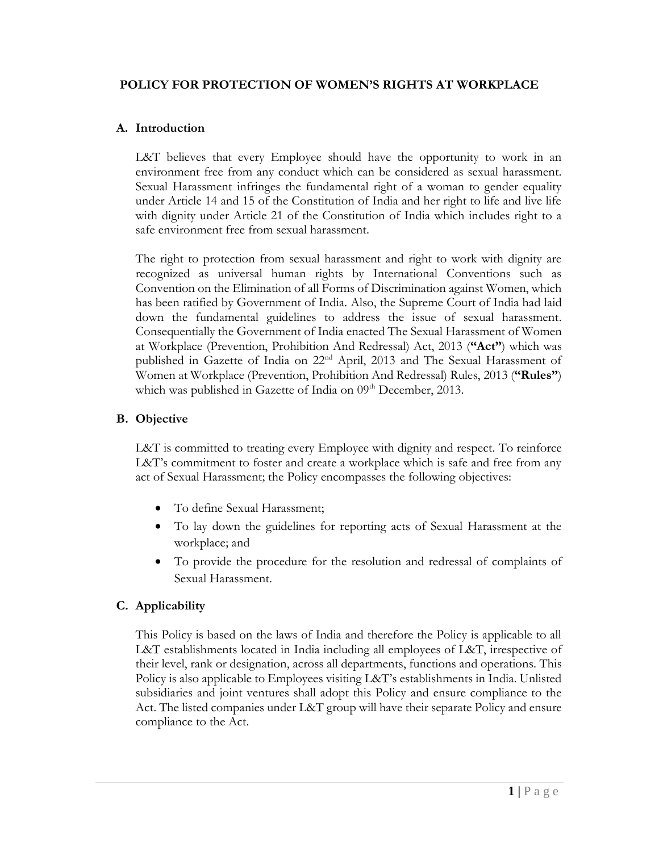#### **POLICY FOR PROTECTION OF WOMEN'S RIGHTS AT WORKPLACE**

### **A. Introduction**

L&T believes that every Employee should have the opportunity to work in an environment free from any conduct which can be considered as sexual harassment. Sexual Harassment infringes the fundamental right of a woman to gender equality under Article 14 and 15 of the Constitution of India and her right to life and live life with dignity under Article 21 of the Constitution of India which includes right to a safe environment free from sexual harassment.

The right to protection from sexual harassment and right to work with dignity are recognized as universal human rights by International Conventions such as Convention on the Elimination of all Forms of Discrimination against Women, which has been ratified by Government of India. Also, the Supreme Court of India had laid down the fundamental guidelines to address the issue of sexual harassment. Consequentially the Government of India enacted The Sexual Harassment of Women at Workplace (Prevention, Prohibition And Redressal) Act, 2013 (**"Act"**) which was published in Gazette of India on 22<sup>nd</sup> April, 2013 and The Sexual Harassment of Women at Workplace (Prevention, Prohibition And Redressal) Rules, 2013 (**"Rules"**) which was published in Gazette of India on  $09<sup>th</sup>$  December, 2013.

#### **B. Objective**

L&T is committed to treating every Employee with dignity and respect. To reinforce L&T's commitment to foster and create a workplace which is safe and free from any act of Sexual Harassment; the Policy encompasses the following objectives:

- To define Sexual Harassment;
- To lay down the guidelines for reporting acts of Sexual Harassment at the workplace; and
- To provide the procedure for the resolution and redressal of complaints of Sexual Harassment.

### **C. Applicability**

This Policy is based on the laws of India and therefore the Policy is applicable to all L&T establishments located in India including all employees of L&T, irrespective of their level, rank or designation, across all departments, functions and operations. This Policy is also applicable to Employees visiting L&T's establishments in India. Unlisted subsidiaries and joint ventures shall adopt this Policy and ensure compliance to the Act. The listed companies under L&T group will have their separate Policy and ensure compliance to the Act.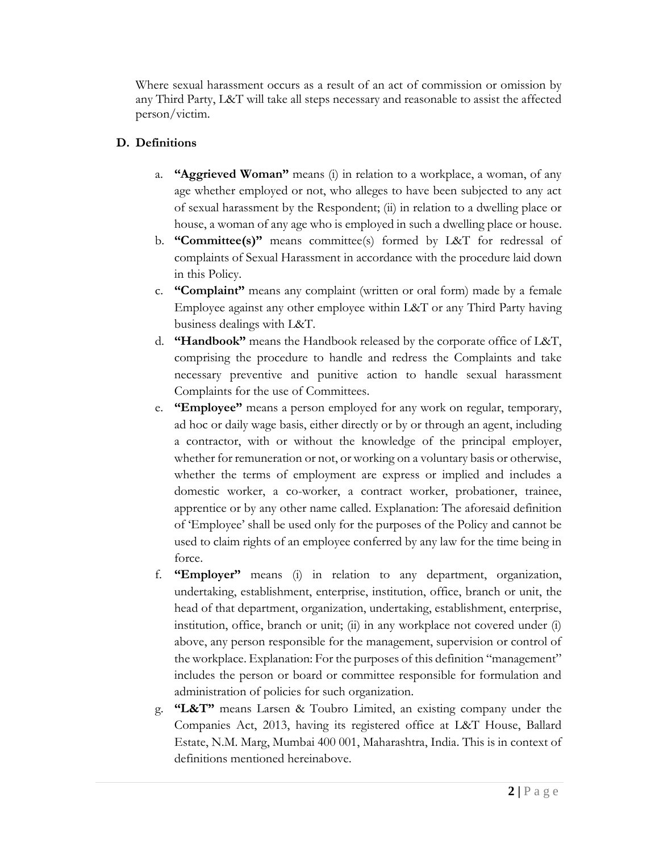Where sexual harassment occurs as a result of an act of commission or omission by any Third Party, L&T will take all steps necessary and reasonable to assist the affected person/victim.

# **D. Definitions**

- a. **"Aggrieved Woman"** means (i) in relation to a workplace, a woman, of any age whether employed or not, who alleges to have been subjected to any act of sexual harassment by the Respondent; (ii) in relation to a dwelling place or house, a woman of any age who is employed in such a dwelling place or house.
- b. **"Committee(s)"** means committee(s) formed by L&T for redressal of complaints of Sexual Harassment in accordance with the procedure laid down in this Policy.
- c. **"Complaint"** means any complaint (written or oral form) made by a female Employee against any other employee within L&T or any Third Party having business dealings with L&T.
- d. **"Handbook"** means the Handbook released by the corporate office of L&T, comprising the procedure to handle and redress the Complaints and take necessary preventive and punitive action to handle sexual harassment Complaints for the use of Committees.
- e. **"Employee"** means a person employed for any work on regular, temporary, ad hoc or daily wage basis, either directly or by or through an agent, including a contractor, with or without the knowledge of the principal employer, whether for remuneration or not, or working on a voluntary basis or otherwise, whether the terms of employment are express or implied and includes a domestic worker, a co-worker, a contract worker, probationer, trainee, apprentice or by any other name called. Explanation: The aforesaid definition of 'Employee' shall be used only for the purposes of the Policy and cannot be used to claim rights of an employee conferred by any law for the time being in force.
- f. **"Employer"** means (i) in relation to any department, organization, undertaking, establishment, enterprise, institution, office, branch or unit, the head of that department, organization, undertaking, establishment, enterprise, institution, office, branch or unit; (ii) in any workplace not covered under (i) above, any person responsible for the management, supervision or control of the workplace. Explanation: For the purposes of this definition "management" includes the person or board or committee responsible for formulation and administration of policies for such organization.
- g. **"L&T"** means Larsen & Toubro Limited, an existing company under the Companies Act, 2013, having its registered office at L&T House, Ballard Estate, N.M. Marg, Mumbai 400 001, Maharashtra, India. This is in context of definitions mentioned hereinabove.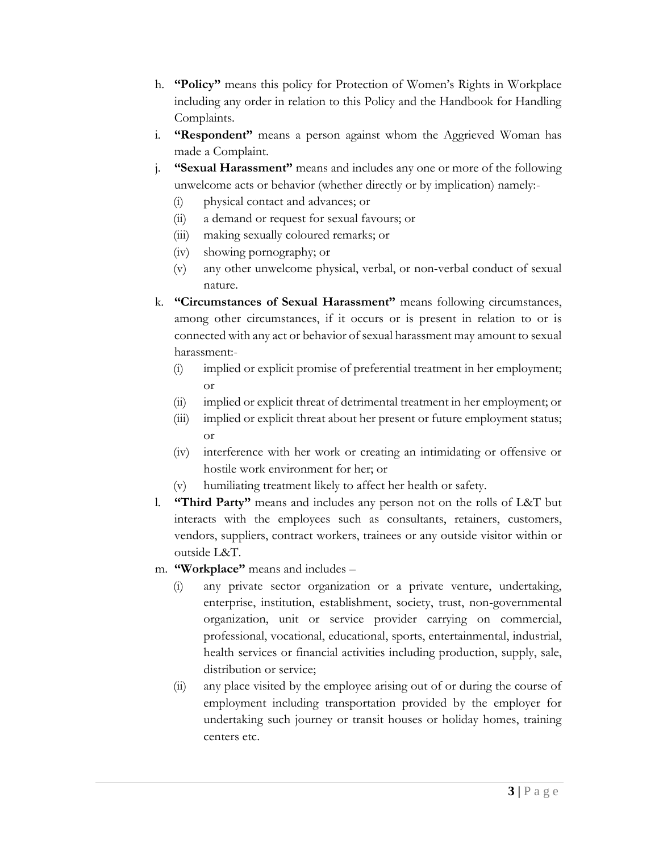- h. **"Policy"** means this policy for Protection of Women's Rights in Workplace including any order in relation to this Policy and the Handbook for Handling Complaints.
- i. **"Respondent"** means a person against whom the Aggrieved Woman has made a Complaint.
- j. **"Sexual Harassment"** means and includes any one or more of the following unwelcome acts or behavior (whether directly or by implication) namely:-
	- (i) physical contact and advances; or
	- (ii) a demand or request for sexual favours; or
	- (iii) making sexually coloured remarks; or
	- (iv) showing pornography; or
	- (v) any other unwelcome physical, verbal, or non-verbal conduct of sexual nature.
- k. **"Circumstances of Sexual Harassment"** means following circumstances, among other circumstances, if it occurs or is present in relation to or is connected with any act or behavior of sexual harassment may amount to sexual harassment:-
	- (i) implied or explicit promise of preferential treatment in her employment; or
	- (ii) implied or explicit threat of detrimental treatment in her employment; or
	- (iii) implied or explicit threat about her present or future employment status; or
	- (iv) interference with her work or creating an intimidating or offensive or hostile work environment for her; or
	- (v) humiliating treatment likely to affect her health or safety.
- l. **"Third Party"** means and includes any person not on the rolls of L&T but interacts with the employees such as consultants, retainers, customers, vendors, suppliers, contract workers, trainees or any outside visitor within or outside L&T.
- m. **"Workplace"** means and includes
	- (i) any private sector organization or a private venture, undertaking, enterprise, institution, establishment, society, trust, non-governmental organization, unit or service provider carrying on commercial, professional, vocational, educational, sports, entertainmental, industrial, health services or financial activities including production, supply, sale, distribution or service;
	- (ii) any place visited by the employee arising out of or during the course of employment including transportation provided by the employer for undertaking such journey or transit houses or holiday homes, training centers etc.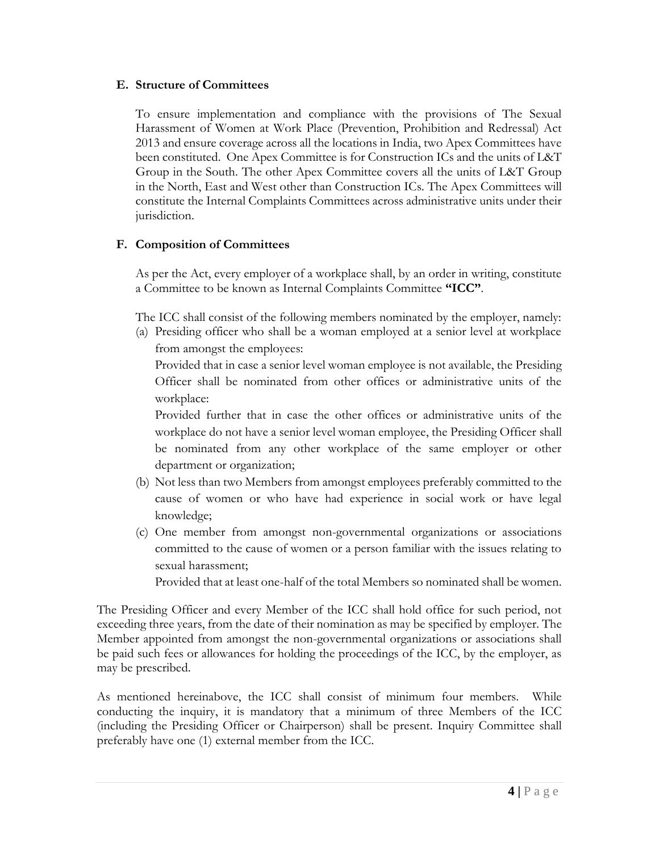#### **E. Structure of Committees**

To ensure implementation and compliance with the provisions of The Sexual Harassment of Women at Work Place (Prevention, Prohibition and Redressal) Act 2013 and ensure coverage across all the locations in India, two Apex Committees have been constituted. One Apex Committee is for Construction ICs and the units of L&T Group in the South. The other Apex Committee covers all the units of L&T Group in the North, East and West other than Construction ICs. The Apex Committees will constitute the Internal Complaints Committees across administrative units under their jurisdiction.

### **F. Composition of Committees**

As per the Act, every employer of a workplace shall, by an order in writing, constitute a Committee to be known as Internal Complaints Committee **"ICC"**.

The ICC shall consist of the following members nominated by the employer, namely:

(a) Presiding officer who shall be a woman employed at a senior level at workplace from amongst the employees:

Provided that in case a senior level woman employee is not available, the Presiding Officer shall be nominated from other offices or administrative units of the workplace:

Provided further that in case the other offices or administrative units of the workplace do not have a senior level woman employee, the Presiding Officer shall be nominated from any other workplace of the same employer or other department or organization;

- (b) Not less than two Members from amongst employees preferably committed to the cause of women or who have had experience in social work or have legal knowledge;
- (c) One member from amongst non-governmental organizations or associations committed to the cause of women or a person familiar with the issues relating to sexual harassment;

Provided that at least one-half of the total Members so nominated shall be women.

The Presiding Officer and every Member of the ICC shall hold office for such period, not exceeding three years, from the date of their nomination as may be specified by employer. The Member appointed from amongst the non-governmental organizations or associations shall be paid such fees or allowances for holding the proceedings of the ICC, by the employer, as may be prescribed.

As mentioned hereinabove, the ICC shall consist of minimum four members. While conducting the inquiry, it is mandatory that a minimum of three Members of the ICC (including the Presiding Officer or Chairperson) shall be present. Inquiry Committee shall preferably have one (1) external member from the ICC.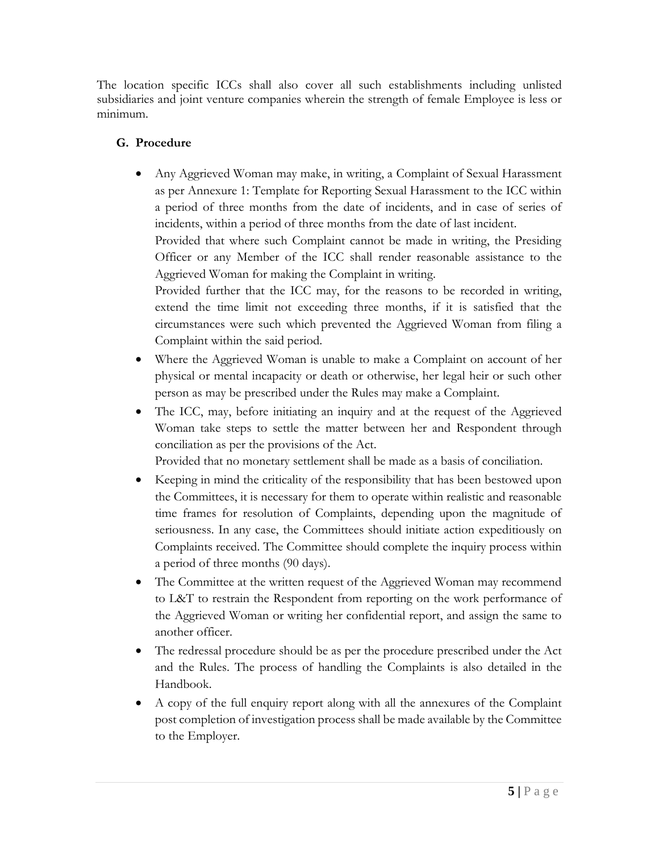The location specific ICCs shall also cover all such establishments including unlisted subsidiaries and joint venture companies wherein the strength of female Employee is less or minimum.

# **G. Procedure**

• Any Aggrieved Woman may make, in writing, a Complaint of Sexual Harassment as per Annexure 1: Template for Reporting Sexual Harassment to the ICC within a period of three months from the date of incidents, and in case of series of incidents, within a period of three months from the date of last incident.

Provided that where such Complaint cannot be made in writing, the Presiding Officer or any Member of the ICC shall render reasonable assistance to the Aggrieved Woman for making the Complaint in writing.

Provided further that the ICC may, for the reasons to be recorded in writing, extend the time limit not exceeding three months, if it is satisfied that the circumstances were such which prevented the Aggrieved Woman from filing a Complaint within the said period.

- Where the Aggrieved Woman is unable to make a Complaint on account of her physical or mental incapacity or death or otherwise, her legal heir or such other person as may be prescribed under the Rules may make a Complaint.
- The ICC, may, before initiating an inquiry and at the request of the Aggrieved Woman take steps to settle the matter between her and Respondent through conciliation as per the provisions of the Act.

Provided that no monetary settlement shall be made as a basis of conciliation.

- Keeping in mind the criticality of the responsibility that has been bestowed upon the Committees, it is necessary for them to operate within realistic and reasonable time frames for resolution of Complaints, depending upon the magnitude of seriousness. In any case, the Committees should initiate action expeditiously on Complaints received. The Committee should complete the inquiry process within a period of three months (90 days).
- The Committee at the written request of the Aggrieved Woman may recommend to L&T to restrain the Respondent from reporting on the work performance of the Aggrieved Woman or writing her confidential report, and assign the same to another officer.
- The redressal procedure should be as per the procedure prescribed under the Act and the Rules. The process of handling the Complaints is also detailed in the Handbook.
- A copy of the full enquiry report along with all the annexures of the Complaint post completion of investigation process shall be made available by the Committee to the Employer.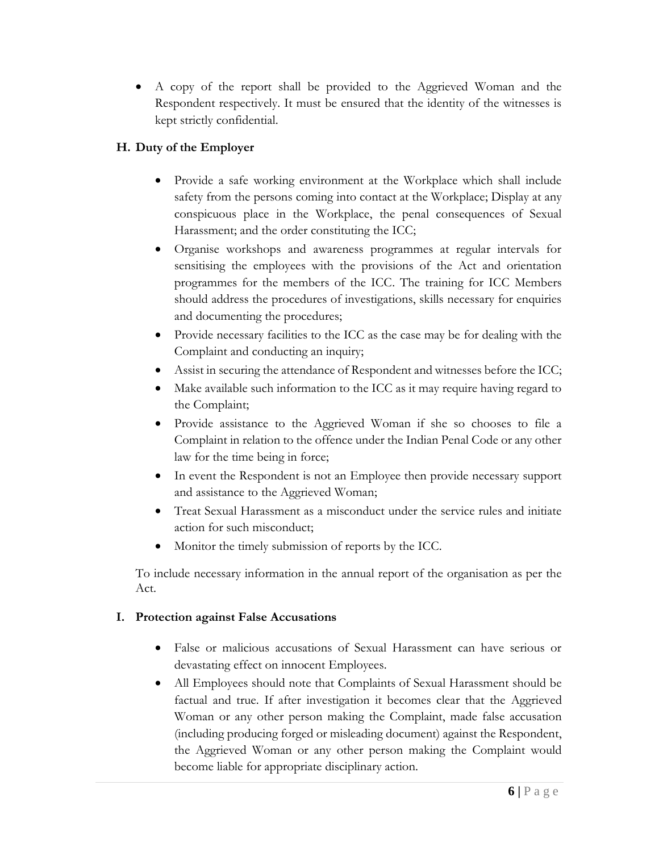• A copy of the report shall be provided to the Aggrieved Woman and the Respondent respectively. It must be ensured that the identity of the witnesses is kept strictly confidential.

# **H. Duty of the Employer**

- Provide a safe working environment at the Workplace which shall include safety from the persons coming into contact at the Workplace; Display at any conspicuous place in the Workplace, the penal consequences of Sexual Harassment; and the order constituting the ICC;
- Organise workshops and awareness programmes at regular intervals for sensitising the employees with the provisions of the Act and orientation programmes for the members of the ICC. The training for ICC Members should address the procedures of investigations, skills necessary for enquiries and documenting the procedures;
- Provide necessary facilities to the ICC as the case may be for dealing with the Complaint and conducting an inquiry;
- Assist in securing the attendance of Respondent and witnesses before the ICC;
- Make available such information to the ICC as it may require having regard to the Complaint;
- Provide assistance to the Aggrieved Woman if she so chooses to file a Complaint in relation to the offence under the Indian Penal Code or any other law for the time being in force;
- In event the Respondent is not an Employee then provide necessary support and assistance to the Aggrieved Woman;
- Treat Sexual Harassment as a misconduct under the service rules and initiate action for such misconduct;
- Monitor the timely submission of reports by the ICC.

To include necessary information in the annual report of the organisation as per the Act.

## **I. Protection against False Accusations**

- False or malicious accusations of Sexual Harassment can have serious or devastating effect on innocent Employees.
- All Employees should note that Complaints of Sexual Harassment should be factual and true. If after investigation it becomes clear that the Aggrieved Woman or any other person making the Complaint, made false accusation (including producing forged or misleading document) against the Respondent, the Aggrieved Woman or any other person making the Complaint would become liable for appropriate disciplinary action.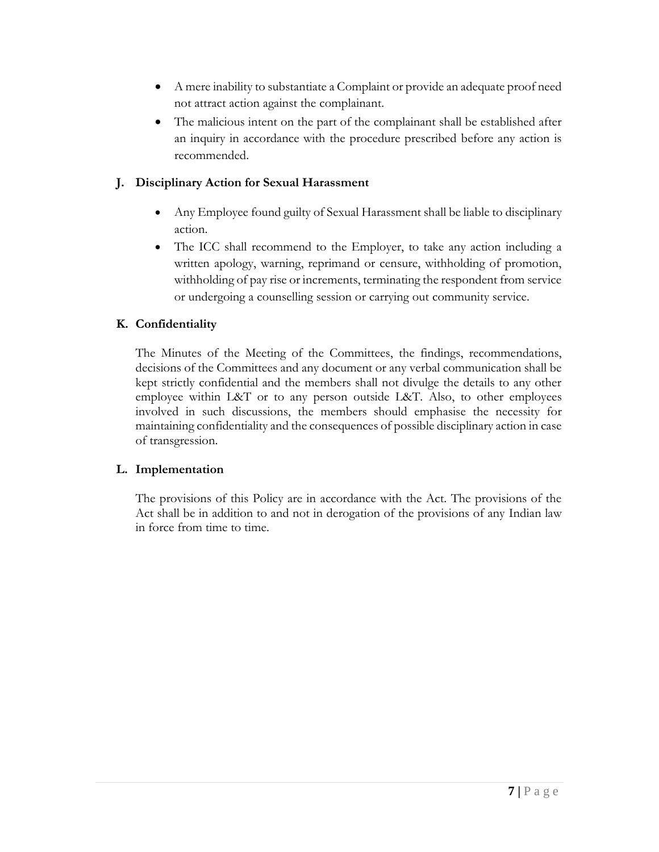- A mere inability to substantiate a Complaint or provide an adequate proof need not attract action against the complainant.
- The malicious intent on the part of the complainant shall be established after an inquiry in accordance with the procedure prescribed before any action is recommended.

### **J. Disciplinary Action for Sexual Harassment**

- Any Employee found guilty of Sexual Harassment shall be liable to disciplinary action.
- The ICC shall recommend to the Employer, to take any action including a written apology, warning, reprimand or censure, withholding of promotion, withholding of pay rise or increments, terminating the respondent from service or undergoing a counselling session or carrying out community service.

## **K. Confidentiality**

The Minutes of the Meeting of the Committees, the findings, recommendations, decisions of the Committees and any document or any verbal communication shall be kept strictly confidential and the members shall not divulge the details to any other employee within L&T or to any person outside L&T. Also, to other employees involved in such discussions, the members should emphasise the necessity for maintaining confidentiality and the consequences of possible disciplinary action in case of transgression.

## **L. Implementation**

The provisions of this Policy are in accordance with the Act. The provisions of the Act shall be in addition to and not in derogation of the provisions of any Indian law in force from time to time.